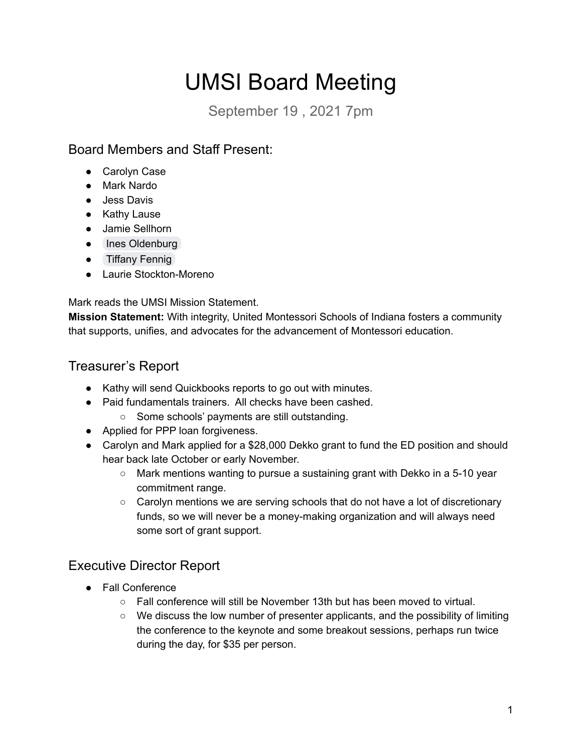# UMSI Board Meeting

September 19 , 2021 7pm

# Board Members and Staff Present:

- Carolyn Case
- Mark Nardo
- Jess Davis
- Kathy Lause
- Jamie Sellhorn
- Ines [Oldenburg](mailto:ioldenburg@oakfarmschool.com)
- Tiffany [Fennig](mailto:tnfennig23@gmail.com)
- Laurie Stockton-Moreno

Mark reads the UMSI Mission Statement.

**Mission Statement:** With integrity, United Montessori Schools of Indiana fosters a community that supports, unifies, and advocates for the advancement of Montessori education.

## Treasurer's Report

- Kathy will send Quickbooks reports to go out with minutes.
- Paid fundamentals trainers. All checks have been cashed.
	- Some schools' payments are still outstanding.
- Applied for PPP loan forgiveness.
- Carolyn and Mark applied for a \$28,000 Dekko grant to fund the ED position and should hear back late October or early November.
	- Mark mentions wanting to pursue a sustaining grant with Dekko in a 5-10 year commitment range.
	- Carolyn mentions we are serving schools that do not have a lot of discretionary funds, so we will never be a money-making organization and will always need some sort of grant support.

## Executive Director Report

- Fall Conference
	- $\circ$  Fall conference will still be November 13th but has been moved to virtual.
	- We discuss the low number of presenter applicants, and the possibility of limiting the conference to the keynote and some breakout sessions, perhaps run twice during the day, for \$35 per person.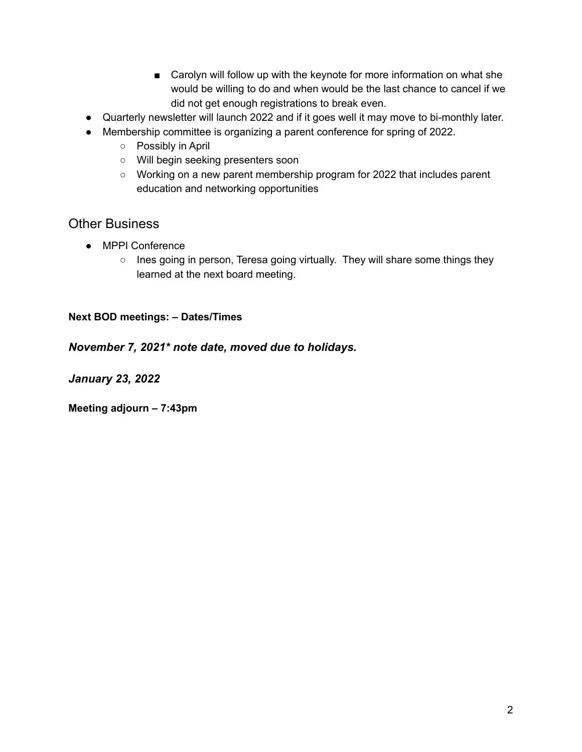- Carolyn will follow up with the keynote for more information on what she would be willing to do and when would be the last chance to cancel if we did not get enough registrations to break even.
- Quarterly newsletter will launch 2022 and if it goes well it may move to bi-monthly later.
- Membership committee is organizing a parent conference for spring of 2022.
	- Possibly in April
	- Will begin seeking presenters soon
	- Working on a new parent membership program for 2022 that includes parent education and networking opportunities

### Other Business

- MPPI Conference
	- Ines going in person, Teresa going virtually. They will share some things they learned at the next board meeting.

#### **Next BOD meetings: – Dates/Times**

#### *November 7, 2021\* note date, moved due to holidays.*

*January 23, 2022*

**Meeting adjourn – 7:43pm**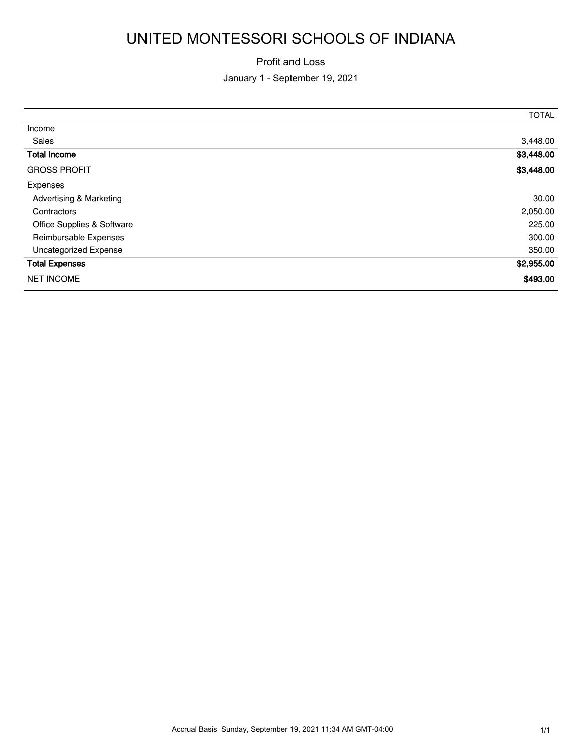# UNITED MONTESSORI SCHOOLS OF INDIANA

#### Profit and Loss

#### January 1 - September 19, 2021

|                                    | <b>TOTAL</b> |
|------------------------------------|--------------|
| Income                             |              |
| Sales                              | 3,448.00     |
| <b>Total Income</b>                | \$3,448.00   |
| <b>GROSS PROFIT</b>                | \$3,448.00   |
| Expenses                           |              |
| <b>Advertising &amp; Marketing</b> | 30.00        |
| Contractors                        | 2,050.00     |
| Office Supplies & Software         | 225.00       |
| Reimbursable Expenses              | 300.00       |
| <b>Uncategorized Expense</b>       | 350.00       |
| <b>Total Expenses</b>              | \$2,955.00   |
| <b>NET INCOME</b>                  | \$493.00     |